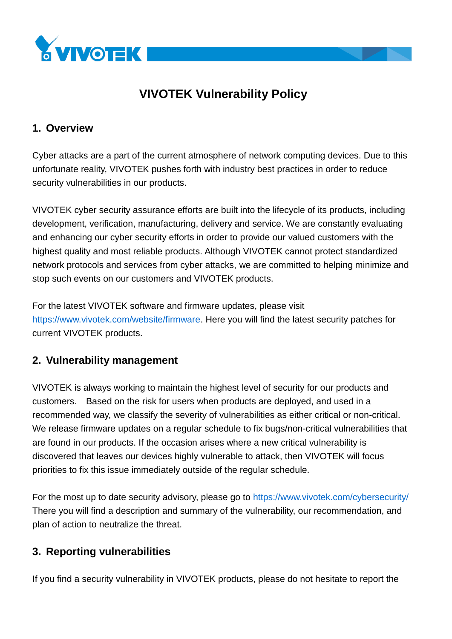

# **VIVOTEK Vulnerability Policy**

### **1. Overview**

Cyber attacks are a part of the current atmosphere of network computing devices. Due to this unfortunate reality, VIVOTEK pushes forth with industry best practices in order to reduce security vulnerabilities in our products.

VIVOTEK cyber security assurance efforts are built into the lifecycle of its products, including development, verification, manufacturing, delivery and service. We are constantly evaluating and enhancing our cyber security efforts in order to provide our valued customers with the highest quality and most reliable products. Although VIVOTEK cannot protect standardized network protocols and services from cyber attacks, we are committed to helping minimize and stop such events on our customers and VIVOTEK products.

For the latest VIVOTEK software and firmware updates, please visit [https://www.vivotek.com/website/firmware.](https://www.vivotek.com/website/firmware) Here you will find the latest security patches for current VIVOTEK products.

#### **2. Vulnerability management**

VIVOTEK is always working to maintain the highest level of security for our products and customers. Based on the risk for users when products are deployed, and used in a recommended way, we classify the severity of vulnerabilities as either critical or non-critical. We release firmware updates on a regular schedule to fix bugs/non-critical vulnerabilities that are found in our products. If the occasion arises where a new critical vulnerability is discovered that leaves our devices highly vulnerable to attack, then VIVOTEK will focus priorities to fix this issue immediately outside of the regular schedule.

For the most up to date security advisory, please go to<https://www.vivotek.com/cybersecurity/> There you will find a description and summary of the vulnerability, our recommendation, and plan of action to neutralize the threat.

#### **3. Reporting vulnerabilities**

If you find a security vulnerability in VIVOTEK products, please do not hesitate to report the